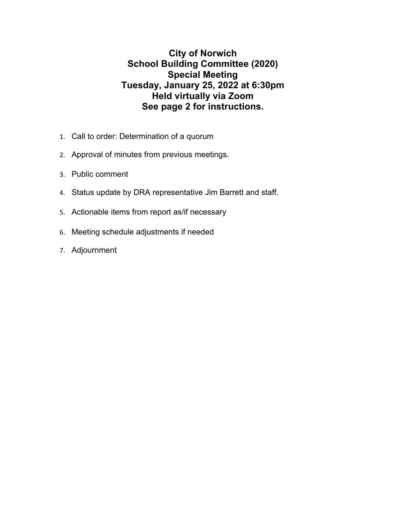## **City of Norwich School Building Committee (2020) Special Meeting Tuesday, January 25, 2022 at 6:30pm Held virtually via Zoom See page 2 for instructions.**

- 1. Call to order: Determination of a quorum
- 2. Approval of minutes from previous meetings.
- 3. Public comment
- 4. Status update by DRA representative Jim Barrett and staff.
- 5. Actionable items from report as/if necessary
- 6. Meeting schedule adjustments if needed
- 7. Adjournment